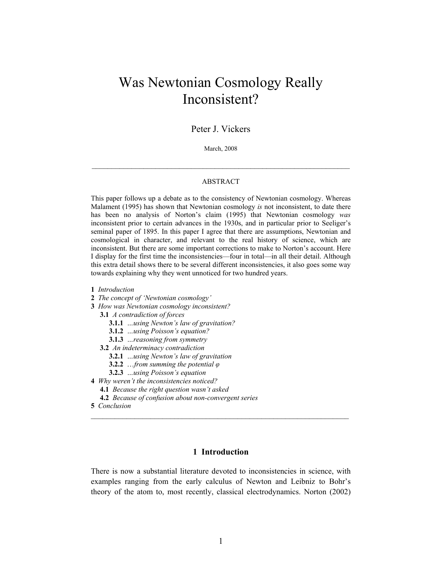# Was Newtonian Cosmology Really Inconsistent?

Peter J. Vickers

March, 2008

#### ABSTRACT

 $\mathcal{L}_\text{max} = \frac{1}{2} \sum_{i=1}^n \mathcal{L}_\text{max}(\mathbf{z}_i - \mathbf{z}_i)$ 

This paper follows up a debate as to the consistency of Newtonian cosmology. Whereas Malament (1995) has shown that Newtonian cosmology *is* not inconsistent, to date there has been no analysis of Norton's claim (1995) that Newtonian cosmology *was* inconsistent prior to certain advances in the 1930s, and in particular prior to Seeliger's seminal paper of 1895. In this paper I agree that there are assumptions, Newtonian and cosmological in character, and relevant to the real history of science, which are inconsistent. But there are some important corrections to make to Norton's account. Here I display for the first time the inconsistencies—four in total—in all their detail. Although this extra detail shows there to be several different inconsistencies, it also goes some way towards explaining why they went unnoticed for two hundred years.

**1** *Introduction* 

- **2** *The concept of 'Newtonian cosmology'*
- **3** *How was Newtonian cosmology inconsistent?* 
	- **3.1** *A contradiction of forces* 
		- **3.1.1** *…using Newton's law of gravitation?*
		- **3.1.2** *…using Poisson's equation?*
		- **3.1.3** *…reasoning from symmetry*
	- **3.2** *An indeterminacy contradiction* 
		- **3.2.1** *…using Newton's law of gravitation*
		- **3.2.2** …*from summing the potential φ*
		- **3.2.3** *…using Poisson's equation*
- **4** *Why weren't the inconsistencies noticed?* 
	- **4.1** *Because the right question wasn't asked*
	- **4.2** *Because of confusion about non-convergent series*
- **5** *Conclusion*

### **1 Introduction**

 $\mathcal{L}_\text{max} = \frac{1}{2} \sum_{i=1}^n \mathcal{L}_\text{max}(\mathbf{z}_i - \mathbf{z}_i)$ 

There is now a substantial literature devoted to inconsistencies in science, with examples ranging from the early calculus of Newton and Leibniz to Bohr's theory of the atom to, most recently, classical electrodynamics. Norton (2002)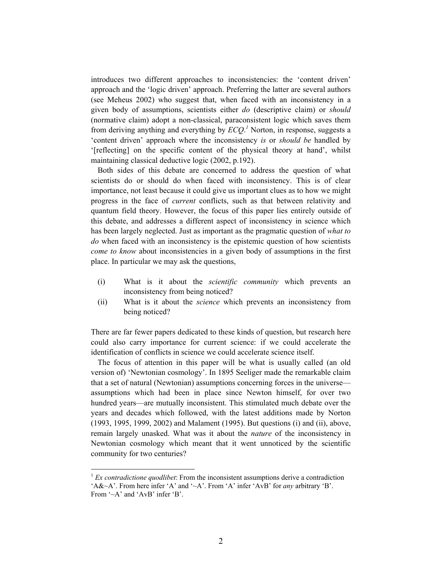introduces two different approaches to inconsistencies: the 'content driven' approach and the 'logic driven' approach. Preferring the latter are several authors (see Meheus 2002) who suggest that, when faced with an inconsistency in a given body of assumptions, scientists either *do* (descriptive claim) or *should* (normative claim) adopt a non-classical, paraconsistent logic which saves them from deriving anything and everything by  $ECQ$ <sup>1</sup>. Norton, in response, suggests a 'content driven' approach where the inconsistency *is* or *should be* handled by '[reflecting] on the specific content of the physical theory at hand', whilst maintaining classical deductive logic (2002, p.192).

Both sides of this debate are concerned to address the question of what scientists do or should do when faced with inconsistency. This is of clear importance, not least because it could give us important clues as to how we might progress in the face of *current* conflicts, such as that between relativity and quantum field theory. However, the focus of this paper lies entirely outside of this debate, and addresses a different aspect of inconsistency in science which has been largely neglected. Just as important as the pragmatic question of *what to do* when faced with an inconsistency is the epistemic question of how scientists *come to know* about inconsistencies in a given body of assumptions in the first place. In particular we may ask the questions,

- (i) What is it about the *scientific community* which prevents an inconsistency from being noticed?
- (ii) What is it about the *science* which prevents an inconsistency from being noticed?

There are far fewer papers dedicated to these kinds of question, but research here could also carry importance for current science: if we could accelerate the identification of conflicts in science we could accelerate science itself.

The focus of attention in this paper will be what is usually called (an old version of) 'Newtonian cosmology'. In 1895 Seeliger made the remarkable claim that a set of natural (Newtonian) assumptions concerning forces in the universe assumptions which had been in place since Newton himself, for over two hundred years—are mutually inconsistent. This stimulated much debate over the years and decades which followed, with the latest additions made by Norton (1993, 1995, 1999, 2002) and Malament (1995). But questions (i) and (ii), above, remain largely unasked. What was it about the *nature* of the inconsistency in Newtonian cosmology which meant that it went unnoticed by the scientific community for two centuries?

<sup>&</sup>lt;sup>1</sup> *Ex contradictione quodlibet*: From the inconsistent assumptions derive a contradiction 'A&~A'. From here infer 'A' and '~A'. From 'A' infer 'AvB' for *any* arbitrary 'B'.

From '~A' and 'AvB' infer 'B'.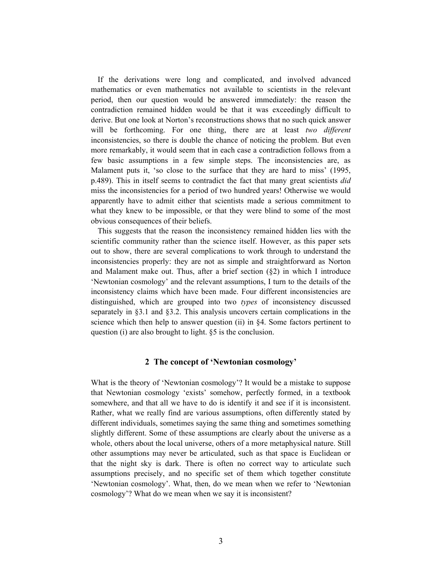If the derivations were long and complicated, and involved advanced mathematics or even mathematics not available to scientists in the relevant period, then our question would be answered immediately: the reason the contradiction remained hidden would be that it was exceedingly difficult to derive. But one look at Norton's reconstructions shows that no such quick answer will be forthcoming. For one thing, there are at least *two different* inconsistencies, so there is double the chance of noticing the problem. But even more remarkably, it would seem that in each case a contradiction follows from a few basic assumptions in a few simple steps. The inconsistencies are, as Malament puts it, 'so close to the surface that they are hard to miss' (1995, p.489). This in itself seems to contradict the fact that many great scientists *did* miss the inconsistencies for a period of two hundred years! Otherwise we would apparently have to admit either that scientists made a serious commitment to what they knew to be impossible, or that they were blind to some of the most obvious consequences of their beliefs.

This suggests that the reason the inconsistency remained hidden lies with the scientific community rather than the science itself. However, as this paper sets out to show, there are several complications to work through to understand the inconsistencies properly: they are not as simple and straightforward as Norton and Malament make out. Thus, after a brief section  $(\S 2)$  in which I introduce 'Newtonian cosmology' and the relevant assumptions, I turn to the details of the inconsistency claims which have been made. Four different inconsistencies are distinguished, which are grouped into two *types* of inconsistency discussed separately in §3.1 and §3.2. This analysis uncovers certain complications in the science which then help to answer question (ii) in §4. Some factors pertinent to question (i) are also brought to light. §5 is the conclusion.

## **2 The concept of 'Newtonian cosmology'**

What is the theory of 'Newtonian cosmology'? It would be a mistake to suppose that Newtonian cosmology 'exists' somehow, perfectly formed, in a textbook somewhere, and that all we have to do is identify it and see if it is inconsistent. Rather, what we really find are various assumptions, often differently stated by different individuals, sometimes saying the same thing and sometimes something slightly different. Some of these assumptions are clearly about the universe as a whole, others about the local universe, others of a more metaphysical nature. Still other assumptions may never be articulated, such as that space is Euclidean or that the night sky is dark. There is often no correct way to articulate such assumptions precisely, and no specific set of them which together constitute 'Newtonian cosmology'. What, then, do we mean when we refer to 'Newtonian cosmology'? What do we mean when we say it is inconsistent?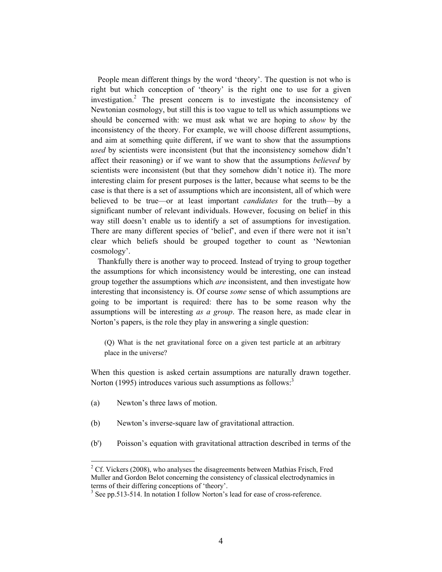People mean different things by the word 'theory'. The question is not who is right but which conception of 'theory' is the right one to use for a given investigation.2 The present concern is to investigate the inconsistency of Newtonian cosmology, but still this is too vague to tell us which assumptions we should be concerned with: we must ask what we are hoping to *show* by the inconsistency of the theory. For example, we will choose different assumptions, and aim at something quite different, if we want to show that the assumptions *used* by scientists were inconsistent (but that the inconsistency somehow didn't affect their reasoning) or if we want to show that the assumptions *believed* by scientists were inconsistent (but that they somehow didn't notice it). The more interesting claim for present purposes is the latter, because what seems to be the case is that there is a set of assumptions which are inconsistent, all of which were believed to be true—or at least important *candidates* for the truth—by a significant number of relevant individuals. However, focusing on belief in this way still doesn't enable us to identify a set of assumptions for investigation. There are many different species of 'belief', and even if there were not it isn't clear which beliefs should be grouped together to count as 'Newtonian cosmology'.

Thankfully there is another way to proceed. Instead of trying to group together the assumptions for which inconsistency would be interesting, one can instead group together the assumptions which *are* inconsistent, and then investigate how interesting that inconsistency is. Of course *some* sense of which assumptions are going to be important is required: there has to be some reason why the assumptions will be interesting *as a group*. The reason here, as made clear in Norton's papers, is the role they play in answering a single question:

(Q) What is the net gravitational force on a given test particle at an arbitrary place in the universe?

When this question is asked certain assumptions are naturally drawn together. Norton (1995) introduces various such assumptions as follows: $3$ 

(a) Newton's three laws of motion.

- (b) Newton's inverse-square law of gravitational attraction.
- (b') Poisson's equation with gravitational attraction described in terms of the

 $2^2$  Cf. Vickers (2008), who analyses the disagreements between Mathias Frisch, Fred Muller and Gordon Belot concerning the consistency of classical electrodynamics in terms of their differing conceptions of 'theory'.

<sup>&</sup>lt;sup>3</sup> See pp.513-514. In notation I follow Norton's lead for ease of cross-reference.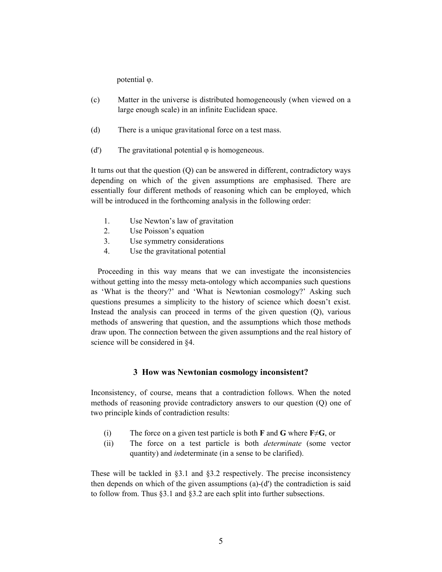potential φ.

- (c) Matter in the universe is distributed homogeneously (when viewed on a large enough scale) in an infinite Euclidean space.
- (d) There is a unique gravitational force on a test mass.
- (d') The gravitational potential  $\varphi$  is homogeneous.

It turns out that the question (Q) can be answered in different, contradictory ways depending on which of the given assumptions are emphasised. There are essentially four different methods of reasoning which can be employed, which will be introduced in the forthcoming analysis in the following order:

- 1. Use Newton's law of gravitation
- 2. Use Poisson's equation
- 3. Use symmetry considerations
- 4. Use the gravitational potential

Proceeding in this way means that we can investigate the inconsistencies without getting into the messy meta-ontology which accompanies such questions as 'What is the theory?' and 'What is Newtonian cosmology?' Asking such questions presumes a simplicity to the history of science which doesn't exist. Instead the analysis can proceed in terms of the given question (Q), various methods of answering that question, and the assumptions which those methods draw upon. The connection between the given assumptions and the real history of science will be considered in §4.

#### **3 How was Newtonian cosmology inconsistent?**

Inconsistency, of course, means that a contradiction follows. When the noted methods of reasoning provide contradictory answers to our question (Q) one of two principle kinds of contradiction results:

- (i) The force on a given test particle is both **F** and **G** where **F**≠**G**, or
- (ii) The force on a test particle is both *determinate* (some vector quantity) and *in*determinate (in a sense to be clarified).

These will be tackled in  $\S$ 3.1 and  $\S$ 3.2 respectively. The precise inconsistency then depends on which of the given assumptions  $(a)$ - $(d')$  the contradiction is said to follow from. Thus §3.1 and §3.2 are each split into further subsections.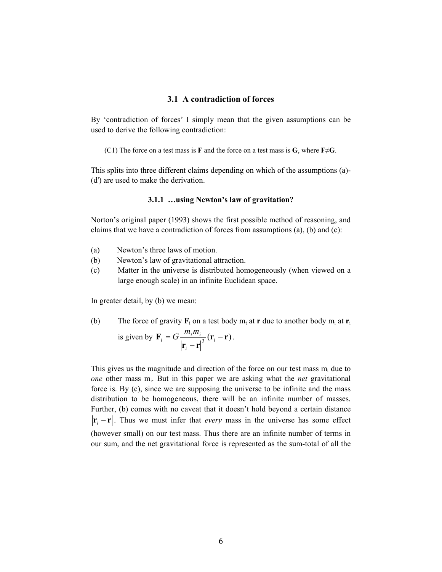# **3.1 A contradiction of forces**

By 'contradiction of forces' I simply mean that the given assumptions can be used to derive the following contradiction:

(C1) The force on a test mass is **F** and the force on a test mass is  $\mathbf{G}$ , where  $\mathbf{F} \neq \mathbf{G}$ .

This splits into three different claims depending on which of the assumptions (a)- (d') are used to make the derivation.

### **3.1.1 …using Newton's law of gravitation?**

Norton's original paper (1993) shows the first possible method of reasoning, and claims that we have a contradiction of forces from assumptions (a), (b) and (c):

- (a) Newton's three laws of motion.
- (b) Newton's law of gravitational attraction.
- (c) Matter in the universe is distributed homogeneously (when viewed on a large enough scale) in an infinite Euclidean space.

In greater detail, by (b) we mean:

(b) The force of gravity  $\mathbf{F}_i$  on a test body  $m_t$  at **r** due to another body  $m_i$  at  $\mathbf{r}_i$ is given by  $\mathbf{F}_i = G \frac{m_i m_i}{\frac{3}{3}} (\mathbf{r}_i - \mathbf{r})$  $\mathbf{F}_i = G \frac{m_i m_i}{\left|\mathbf{r}_i - \mathbf{r}\right|^3} (\mathbf{r}_i$  $t_i = G \frac{m_t m_i}{1 - \frac{3}{2}} (\mathbf{r}_i - \mathbf{r}).$ 

This gives us the magnitude and direction of the force on our test mass  $m_t$  due to *one* other mass mi. But in this paper we are asking what the *net* gravitational force is. By (c), since we are supposing the universe to be infinite and the mass distribution to be homogeneous, there will be an infinite number of masses. Further, (b) comes with no caveat that it doesn't hold beyond a certain distance  $\left|\mathbf{r}_i - \mathbf{r}\right|$ . Thus we must infer that *every* mass in the universe has some effect (however small) on our test mass. Thus there are an infinite number of terms in our sum, and the net gravitational force is represented as the sum-total of all the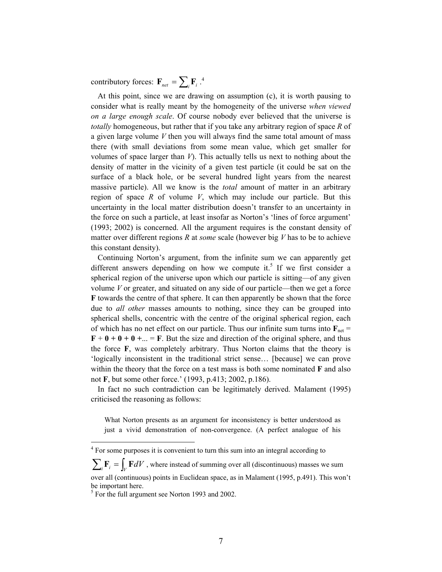contributory forces:  $\mathbf{F}_{net} = \sum_i \mathbf{F}_i$ .<sup>4</sup>

At this point, since we are drawing on assumption (c), it is worth pausing to consider what is really meant by the homogeneity of the universe *when viewed on a large enough scale*. Of course nobody ever believed that the universe is *totally* homogeneous, but rather that if you take any arbitrary region of space *R* of a given large volume *V* then you will always find the same total amount of mass there (with small deviations from some mean value, which get smaller for volumes of space larger than *V*). This actually tells us next to nothing about the density of matter in the vicinity of a given test particle (it could be sat on the surface of a black hole, or be several hundred light years from the nearest massive particle). All we know is the *total* amount of matter in an arbitrary region of space *R* of volume *V*, which may include our particle. But this uncertainty in the local matter distribution doesn't transfer to an uncertainty in the force on such a particle, at least insofar as Norton's 'lines of force argument' (1993; 2002) is concerned. All the argument requires is the constant density of matter over different regions *R* at *some* scale (however big *V* has to be to achieve this constant density).

Continuing Norton's argument, from the infinite sum we can apparently get different answers depending on how we compute it.<sup>5</sup> If we first consider a spherical region of the universe upon which our particle is sitting—of any given volume *V* or greater, and situated on any side of our particle—then we get a force **F** towards the centre of that sphere. It can then apparently be shown that the force due to *all other* masses amounts to nothing, since they can be grouped into spherical shells, concentric with the centre of the original spherical region, each of which has no net effect on our particle. Thus our infinite sum turns into  $\mathbf{F}_{\text{net}} =$  $\mathbf{F} + \mathbf{0} + \mathbf{0} + \mathbf{0} + \dots = \mathbf{F}$ . But the size and direction of the original sphere, and thus the force **F**, was completely arbitrary. Thus Norton claims that the theory is 'logically inconsistent in the traditional strict sense… [because] we can prove within the theory that the force on a test mass is both some nominated **F** and also not **F**, but some other force.' (1993, p.413; 2002, p.186).

In fact no such contradiction can be legitimately derived. Malament (1995) criticised the reasoning as follows:

What Norton presents as an argument for inconsistency is better understood as just a vivid demonstration of non-convergence. (A perfect analogue of his

<sup>4</sup> For some purposes it is convenient to turn this sum into an integral according to

 $\sum_i \mathbf{F}_i = \int_{V} \mathbf{F} dV$ , where instead of summing over all (discontinuous) masses we sum

over all (continuous) points in Euclidean space, as in Malament (1995, p.491). This won't be important here.

<sup>&</sup>lt;sup>5</sup> For the full argument see Norton 1993 and 2002.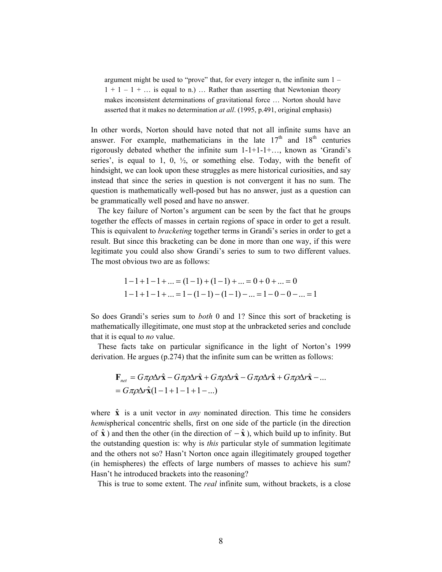argument might be used to "prove" that, for every integer n, the infinite sum 1 –  $1 + 1 - 1 + \dots$  is equal to n.)  $\dots$  Rather than asserting that Newtonian theory makes inconsistent determinations of gravitational force … Norton should have asserted that it makes no determination *at all*. (1995, p.491, original emphasis)

In other words, Norton should have noted that not all infinite sums have an answer. For example, mathematicians in the late  $17<sup>th</sup>$  and  $18<sup>th</sup>$  centuries rigorously debated whether the infinite sum 1-1+1-1+…, known as 'Grandi's series', is equal to 1, 0,  $\frac{1}{2}$ , or something else. Today, with the benefit of hindsight, we can look upon these struggles as mere historical curiosities, and say instead that since the series in question is not convergent it has no sum. The question is mathematically well-posed but has no answer, just as a question can be grammatically well posed and have no answer.

The key failure of Norton's argument can be seen by the fact that he groups together the effects of masses in certain regions of space in order to get a result. This is equivalent to *bracketing* together terms in Grandi's series in order to get a result. But since this bracketing can be done in more than one way, if this were legitimate you could also show Grandi's series to sum to two different values. The most obvious two are as follows:

$$
1-1+1-1+... = (1-1) + (1-1) + ... = 0 + 0 + ... = 0
$$
  

$$
1-1+1-1+... = 1 - (1-1) - (1-1) - ... = 1 - 0 - 0 - ... = 1
$$

So does Grandi's series sum to *both* 0 and 1? Since this sort of bracketing is mathematically illegitimate, one must stop at the unbracketed series and conclude that it is equal to *no* value.

These facts take on particular significance in the light of Norton's 1999 derivation. He argues (p.274) that the infinite sum can be written as follows:

$$
\mathbf{F}_{net} = G\pi\rho\Delta r\hat{\mathbf{x}} - G\pi\rho\Delta r\hat{\mathbf{x}} + G\pi\rho\Delta r\hat{\mathbf{x}} - G\pi\rho\Delta r\hat{\mathbf{x}} + G\pi\rho\Delta r\hat{\mathbf{x}} - \dots
$$
  
= 
$$
G\pi\rho\Delta r\hat{\mathbf{x}}(1 - 1 + 1 - 1 + 1 - \dots)
$$

where  $\hat{\mathbf{x}}$  is a unit vector in *any* nominated direction. This time he considers *hemi*spherical concentric shells, first on one side of the particle (in the direction of  $\hat{\mathbf{x}}$ ) and then the other (in the direction of  $-\hat{\mathbf{x}}$ ), which build up to infinity. But the outstanding question is: why is *this* particular style of summation legitimate and the others not so? Hasn't Norton once again illegitimately grouped together (in hemispheres) the effects of large numbers of masses to achieve his sum? Hasn't he introduced brackets into the reasoning?

This is true to some extent. The *real* infinite sum, without brackets, is a close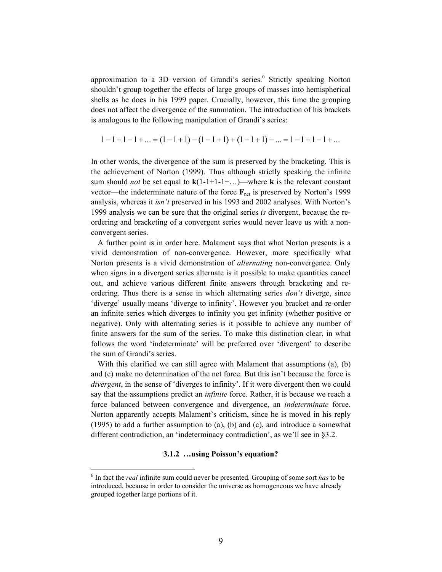approximation to a 3D version of Grandi's series.<sup>6</sup> Strictly speaking Norton shouldn't group together the effects of large groups of masses into hemispherical shells as he does in his 1999 paper. Crucially, however, this time the grouping does not affect the divergence of the summation. The introduction of his brackets is analogous to the following manipulation of Grandi's series:

$$
1-1+1-1+... = (1-1+1)-(1-1+1)+(1-1+1)-... = 1-1+1-1+...
$$

In other words, the divergence of the sum is preserved by the bracketing. This is the achievement of Norton (1999). Thus although strictly speaking the infinite sum should *not* be set equal to **k**(1-1+1-1+…)—where **k** is the relevant constant vector—the indeterminate nature of the force  $\mathbf{F}_{\text{net}}$  is preserved by Norton's 1999 analysis, whereas it *isn't* preserved in his 1993 and 2002 analyses. With Norton's 1999 analysis we can be sure that the original series *is* divergent, because the reordering and bracketing of a convergent series would never leave us with a nonconvergent series.

A further point is in order here. Malament says that what Norton presents is a vivid demonstration of non-convergence. However, more specifically what Norton presents is a vivid demonstration of *alternating* non-convergence. Only when signs in a divergent series alternate is it possible to make quantities cancel out, and achieve various different finite answers through bracketing and reordering. Thus there is a sense in which alternating series *don't* diverge, since 'diverge' usually means 'diverge to infinity'. However you bracket and re-order an infinite series which diverges to infinity you get infinity (whether positive or negative). Only with alternating series is it possible to achieve any number of finite answers for the sum of the series. To make this distinction clear, in what follows the word 'indeterminate' will be preferred over 'divergent' to describe the sum of Grandi's series.

With this clarified we can still agree with Malament that assumptions (a), (b) and (c) make no determination of the net force. But this isn't because the force is *divergent*, in the sense of 'diverges to infinity'. If it were divergent then we could say that the assumptions predict an *infinite* force. Rather, it is because we reach a force balanced between convergence and divergence, an *indeterminate* force. Norton apparently accepts Malament's criticism, since he is moved in his reply (1995) to add a further assumption to (a), (b) and (c), and introduce a somewhat different contradiction, an 'indeterminacy contradiction', as we'll see in §3.2.

#### **3.1.2 …using Poisson's equation?**

<sup>6</sup> In fact the *real* infinite sum could never be presented. Grouping of some sort *has* to be introduced, because in order to consider the universe as homogeneous we have already grouped together large portions of it.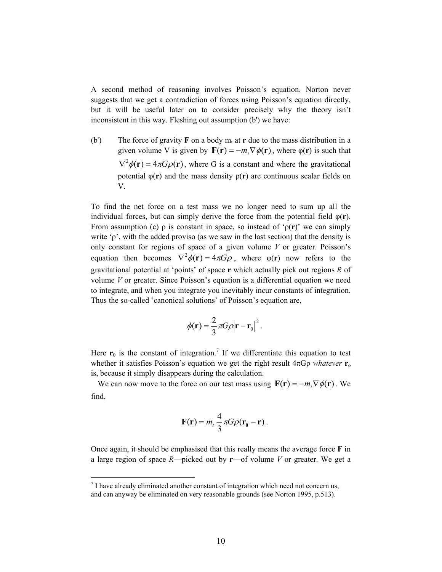A second method of reasoning involves Poisson's equation. Norton never suggests that we get a contradiction of forces using Poisson's equation directly, but it will be useful later on to consider precisely why the theory isn't inconsistent in this way. Fleshing out assumption (b') we have:

(b') The force of gravity  $\bf{F}$  on a body  $\bf{m}$  at **r** due to the mass distribution in a given volume V is given by  $\mathbf{F}(\mathbf{r}) = -m_r \nabla \phi(\mathbf{r})$ , where  $\phi(\mathbf{r})$  is such that  $\nabla^2 \phi(\mathbf{r}) = 4\pi G \rho(\mathbf{r})$ , where G is a constant and where the gravitational potential  $\varphi(\mathbf{r})$  and the mass density  $\rho(\mathbf{r})$  are continuous scalar fields on V.

To find the net force on a test mass we no longer need to sum up all the individual forces, but can simply derive the force from the potential field  $\varphi(\mathbf{r})$ . From assumption (c)  $\rho$  is constant in space, so instead of ' $\rho(\mathbf{r})$ ' we can simply write ' $\rho$ ', with the added proviso (as we saw in the last section) that the density is only constant for regions of space of a given volume *V* or greater. Poisson's equation then becomes  $\nabla^2 \phi(\mathbf{r}) = 4\pi G \rho$ , where  $\phi(\mathbf{r})$  now refers to the gravitational potential at 'points' of space **r** which actually pick out regions *R* of volume *V* or greater. Since Poisson's equation is a differential equation we need to integrate, and when you integrate you inevitably incur constants of integration. Thus the so-called 'canonical solutions' of Poisson's equation are,

$$
\phi(\mathbf{r}) = \frac{2}{3}\pi G\rho |\mathbf{r} - \mathbf{r}_0|^2.
$$

Here  $r_0$  is the constant of integration.<sup>7</sup> If we differentiate this equation to test whether it satisfies Poisson's equation we get the right result  $4\pi G\rho$  *whatever* **r**<sub>o</sub> is, because it simply disappears during the calculation.

We can now move to the force on our test mass using  $\mathbf{F}(\mathbf{r}) = -m \nabla \phi(\mathbf{r})$ . We find,

$$
\mathbf{F}(\mathbf{r}) = m_t \frac{4}{3} \pi G \rho (\mathbf{r}_0 - \mathbf{r}).
$$

Once again, it should be emphasised that this really means the average force **F** in a large region of space *R*—picked out by **r**—of volume *V* or greater. We get a

 $<sup>7</sup>$  I have already eliminated another constant of integration which need not concern us,</sup> and can anyway be eliminated on very reasonable grounds (see Norton 1995, p.513).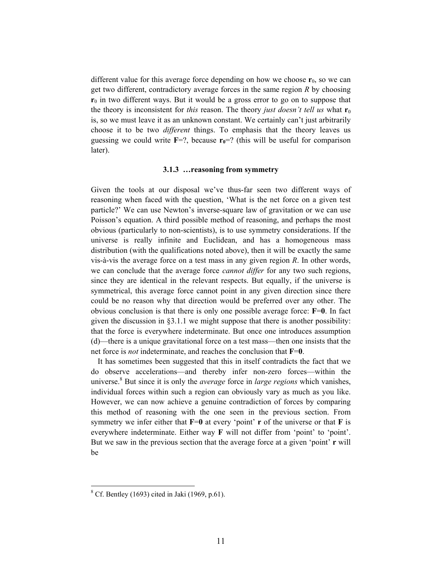different value for this average force depending on how we choose  $\mathbf{r}_0$ , so we can get two different, contradictory average forces in the same region *R* by choosing **r**<sub>0</sub> in two different ways. But it would be a gross error to go on to suppose that the theory is inconsistent for *this* reason. The theory *just doesn't tell us* what  $\mathbf{r}_0$ is, so we must leave it as an unknown constant. We certainly can't just arbitrarily choose it to be two *different* things. To emphasis that the theory leaves us guessing we could write  $\mathbf{F} = ?$ , because  $\mathbf{r}_0 = ?$  (this will be useful for comparison later).

## **3.1.3 …reasoning from symmetry**

Given the tools at our disposal we've thus-far seen two different ways of reasoning when faced with the question, 'What is the net force on a given test particle?' We can use Newton's inverse-square law of gravitation or we can use Poisson's equation. A third possible method of reasoning, and perhaps the most obvious (particularly to non-scientists), is to use symmetry considerations. If the universe is really infinite and Euclidean, and has a homogeneous mass distribution (with the qualifications noted above), then it will be exactly the same vis-à-vis the average force on a test mass in any given region *R*. In other words, we can conclude that the average force *cannot differ* for any two such regions, since they are identical in the relevant respects. But equally, if the universe is symmetrical, this average force cannot point in any given direction since there could be no reason why that direction would be preferred over any other. The obvious conclusion is that there is only one possible average force: **F**=**0**. In fact given the discussion in §3.1.1 we might suppose that there is another possibility: that the force is everywhere indeterminate. But once one introduces assumption (d)—there is a unique gravitational force on a test mass—then one insists that the net force is *not* indeterminate, and reaches the conclusion that **F**=**0**.

It has sometimes been suggested that this in itself contradicts the fact that we do observe accelerations—and thereby infer non-zero forces—within the universe.<sup>8</sup> But since it is only the *average* force in *large regions* which vanishes, individual forces within such a region can obviously vary as much as you like. However, we can now achieve a genuine contradiction of forces by comparing this method of reasoning with the one seen in the previous section. From symmetry we infer either that  $\mathbf{F}=\mathbf{0}$  at every 'point' **r** of the universe or that **F** is everywhere indeterminate. Either way **F** will not differ from 'point' to 'point'. But we saw in the previous section that the average force at a given 'point' **r** will be

 $8^8$  Cf. Bentley (1693) cited in Jaki (1969, p.61).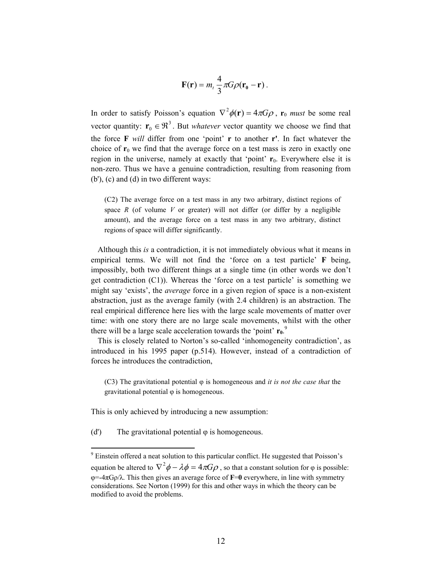$$
\mathbf{F}(\mathbf{r}) = m_t \frac{4}{3} \pi G \rho (\mathbf{r}_0 - \mathbf{r}).
$$

In order to satisfy Poisson's equation  $\nabla^2 \phi(\mathbf{r}) = 4\pi G \rho$ ,  $\mathbf{r}_0$  *must* be some real vector quantity:  $\mathbf{r}_0 \in \mathbb{R}^3$ . But *whatever* vector quantity we choose we find that the force **F** *will* differ from one 'point' **r** to another **r'**. In fact whatever the choice of  $r_0$  we find that the average force on a test mass is zero in exactly one region in the universe, namely at exactly that 'point' **r**0. Everywhere else it is non-zero. Thus we have a genuine contradiction, resulting from reasoning from (b'), (c) and (d) in two different ways:

(C2) The average force on a test mass in any two arbitrary, distinct regions of space  $R$  (of volume  $V$  or greater) will not differ (or differ by a negligible amount), and the average force on a test mass in any two arbitrary, distinct regions of space will differ significantly.

Although this *is* a contradiction, it is not immediately obvious what it means in empirical terms. We will not find the 'force on a test particle' **F** being, impossibly, both two different things at a single time (in other words we don't get contradiction  $(C1)$ ). Whereas the 'force on a test particle' is something we might say 'exists', the *average* force in a given region of space is a non-existent abstraction, just as the average family (with 2.4 children) is an abstraction. The real empirical difference here lies with the large scale movements of matter over time: with one story there are no large scale movements, whilst with the other there will be a large scale acceleration towards the 'point' r<sub>0</sub>.<sup>9</sup>

This is closely related to Norton's so-called 'inhomogeneity contradiction', as introduced in his 1995 paper (p.514). However, instead of a contradiction of forces he introduces the contradiction,

(C3) The gravitational potential φ is homogeneous and *it is not the case that* the gravitational potential φ is homogeneous.

This is only achieved by introducing a new assumption:

(d') The gravitational potential  $\varphi$  is homogeneous.

 $9$  Einstein offered a neat solution to this particular conflict. He suggested that Poisson's equation be altered to  $\nabla^2 \phi - \lambda \phi = 4\pi G \rho$ , so that a constant solution for  $\varphi$  is possible: φ=-4πGρ/λ. This then gives an average force of **F**=**0** everywhere, in line with symmetry considerations. See Norton (1999) for this and other ways in which the theory can be modified to avoid the problems.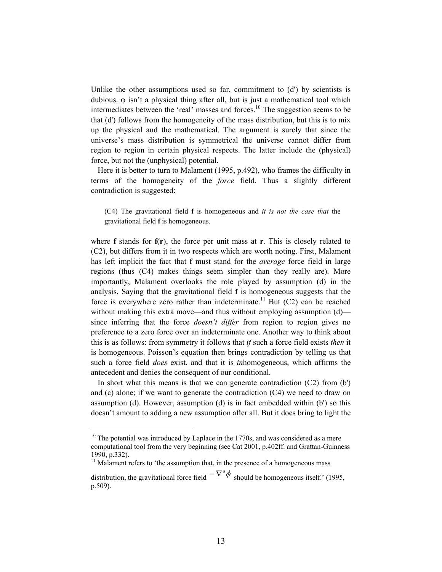Unlike the other assumptions used so far, commitment to (d') by scientists is dubious. φ isn't a physical thing after all, but is just a mathematical tool which intermediates between the 'real' masses and forces.<sup>10</sup> The suggestion seems to be that (d') follows from the homogeneity of the mass distribution, but this is to mix up the physical and the mathematical. The argument is surely that since the universe's mass distribution is symmetrical the universe cannot differ from region to region in certain physical respects. The latter include the (physical) force, but not the (unphysical) potential.

Here it is better to turn to Malament (1995, p.492), who frames the difficulty in terms of the homogeneity of the *force* field. Thus a slightly different contradiction is suggested:

(C4) The gravitational field **f** is homogeneous and *it is not the case that* the gravitational field **f** is homogeneous.

where **f** stands for **f**(**r**), the force per unit mass at **r**. This is closely related to (C2), but differs from it in two respects which are worth noting. First, Malament has left implicit the fact that **f** must stand for the *average* force field in large regions (thus (C4) makes things seem simpler than they really are). More importantly, Malament overlooks the role played by assumption (d) in the analysis. Saying that the gravitational field **f** is homogeneous suggests that the force is everywhere zero rather than indeterminate.<sup>11</sup> But (C2) can be reached without making this extra move—and thus without employing assumption (d) since inferring that the force *doesn't differ* from region to region gives no preference to a zero force over an indeterminate one. Another way to think about this is as follows: from symmetry it follows that *if* such a force field exists *then* it is homogeneous. Poisson's equation then brings contradiction by telling us that such a force field *does* exist, and that it is *in*homogeneous, which affirms the antecedent and denies the consequent of our conditional.

In short what this means is that we can generate contradiction  $(C2)$  from  $(b')$ and (c) alone; if we want to generate the contradiction (C4) we need to draw on assumption (d). However, assumption (d) is in fact embedded within (b') so this doesn't amount to adding a new assumption after all. But it does bring to light the

 $10$  The potential was introduced by Laplace in the 1770s, and was considered as a mere computational tool from the very beginning (see Cat 2001, p.402ff. and Grattan-Guinness 1990, p.332).

 $11$  Malament refers to 'the assumption that, in the presence of a homogeneous mass

distribution, the gravitational force field  $-\nabla^a \phi$  should be homogeneous itself.' (1995, p.509).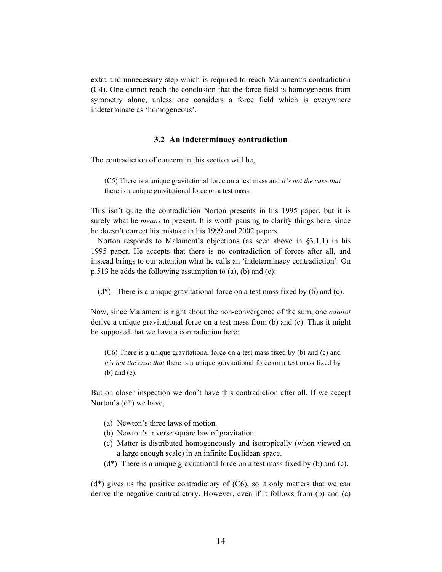extra and unnecessary step which is required to reach Malament's contradiction (C4). One cannot reach the conclusion that the force field is homogeneous from symmetry alone, unless one considers a force field which is everywhere indeterminate as 'homogeneous'.

## **3.2 An indeterminacy contradiction**

The contradiction of concern in this section will be,

(C5) There is a unique gravitational force on a test mass and *it's not the case that*  there is a unique gravitational force on a test mass.

This isn't quite the contradiction Norton presents in his 1995 paper, but it is surely what he *means* to present. It is worth pausing to clarify things here, since he doesn't correct his mistake in his 1999 and 2002 papers.

Norton responds to Malament's objections (as seen above in §3.1.1) in his 1995 paper. He accepts that there is no contradiction of forces after all, and instead brings to our attention what he calls an 'indeterminacy contradiction'. On p.513 he adds the following assumption to (a), (b) and (c):

 $(d^*)$  There is a unique gravitational force on a test mass fixed by (b) and (c).

Now, since Malament is right about the non-convergence of the sum, one *cannot* derive a unique gravitational force on a test mass from (b) and (c). Thus it might be supposed that we have a contradiction here:

(C6) There is a unique gravitational force on a test mass fixed by (b) and (c) and *it's not the case that* there is a unique gravitational force on a test mass fixed by (b) and (c).

But on closer inspection we don't have this contradiction after all. If we accept Norton's  $(d^*)$  we have,

- (a) Newton's three laws of motion.
- (b) Newton's inverse square law of gravitation.
- (c) Matter is distributed homogeneously and isotropically (when viewed on a large enough scale) in an infinite Euclidean space.
- $(d^*)$  There is a unique gravitational force on a test mass fixed by (b) and (c).

 $(d^*)$  gives us the positive contradictory of  $(C6)$ , so it only matters that we can derive the negative contradictory. However, even if it follows from (b) and (c)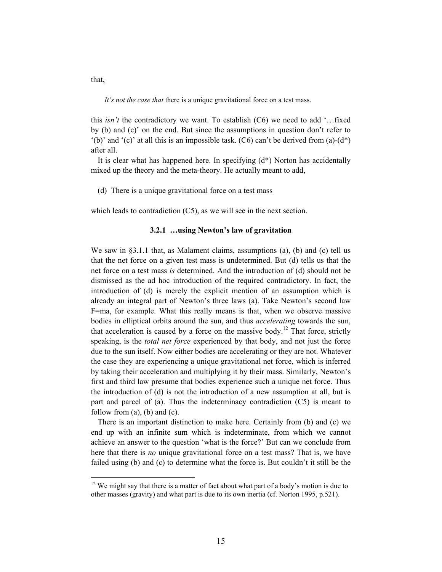that,

 $\overline{a}$ 

*It's not the case that* there is a unique gravitational force on a test mass.

this *isn't* the contradictory we want. To establish (C6) we need to add '…fixed by (b) and (c)' on the end. But since the assumptions in question don't refer to  $'(b)'$  and  $'(c)'$  at all this is an impossible task. (C6) can't be derived from (a)-(d\*) after all.

It is clear what has happened here. In specifying (d\*) Norton has accidentally mixed up the theory and the meta-theory. He actually meant to add,

(d) There is a unique gravitational force on a test mass

which leads to contradiction (C5), as we will see in the next section.

#### **3.2.1 …using Newton's law of gravitation**

We saw in §3.1.1 that, as Malament claims, assumptions (a), (b) and (c) tell us that the net force on a given test mass is undetermined. But (d) tells us that the net force on a test mass *is* determined. And the introduction of (d) should not be dismissed as the ad hoc introduction of the required contradictory. In fact, the introduction of (d) is merely the explicit mention of an assumption which is already an integral part of Newton's three laws (a). Take Newton's second law F=ma, for example. What this really means is that, when we observe massive bodies in elliptical orbits around the sun, and thus *accelerating* towards the sun, that acceleration is caused by a force on the massive body.<sup>12</sup> That force, strictly speaking, is the *total net force* experienced by that body, and not just the force due to the sun itself. Now either bodies are accelerating or they are not. Whatever the case they are experiencing a unique gravitational net force, which is inferred by taking their acceleration and multiplying it by their mass. Similarly, Newton's first and third law presume that bodies experience such a unique net force. Thus the introduction of (d) is not the introduction of a new assumption at all, but is part and parcel of (a). Thus the indeterminacy contradiction (C5) is meant to follow from  $(a)$ ,  $(b)$  and  $(c)$ .

There is an important distinction to make here. Certainly from (b) and (c) we end up with an infinite sum which is indeterminate, from which we cannot achieve an answer to the question 'what is the force?' But can we conclude from here that there is *no* unique gravitational force on a test mass? That is, we have failed using (b) and (c) to determine what the force is. But couldn't it still be the

 $12$  We might say that there is a matter of fact about what part of a body's motion is due to other masses (gravity) and what part is due to its own inertia (cf. Norton 1995, p.521).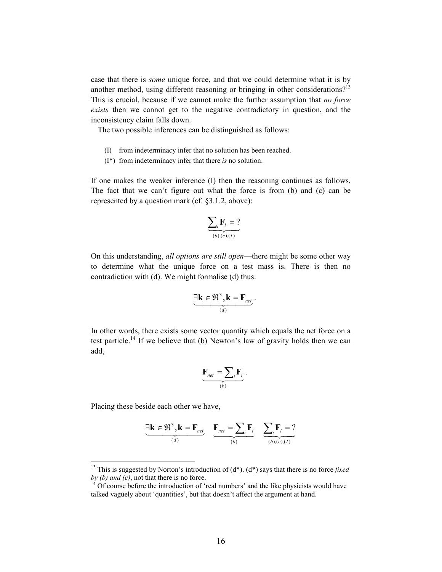case that there is *some* unique force, and that we could determine what it is by another method, using different reasoning or bringing in other considerations?<sup>13</sup> This is crucial, because if we cannot make the further assumption that *no force exists* then we cannot get to the negative contradictory in question, and the inconsistency claim falls down.

The two possible inferences can be distinguished as follows:

- (I) from indeterminacy infer that no solution has been reached.
- (I\*) from indeterminacy infer that there *is* no solution.

If one makes the weaker inference (I) then the reasoning continues as follows. The fact that we can't figure out what the force is from (b) and (c) can be represented by a question mark (cf. §3.1.2, above):

$$
\underbrace{\sum_{i} \mathbf{F}_{i} = ?}_{(b), (c), (I)}
$$

On this understanding, *all options are still open*—there might be some other way to determine what the unique force on a test mass is. There is then no contradiction with (d). We might formalise (d) thus:

$$
\underbrace{\exists \mathbf{k} \in \mathfrak{R}^3, \mathbf{k} = \mathbf{F}_{net}}_{(d)}.
$$

In other words, there exists some vector quantity which equals the net force on a test particle.<sup>14</sup> If we believe that (b) Newton's law of gravity holds then we can add,

$$
\underbrace{\mathbf{F}_{net}}_{(b)} = \sum_{i} \mathbf{F}_{i}.
$$

Placing these beside each other we have,

$$
\underbrace{\exists \mathbf{k} \in \mathfrak{R}^3, \mathbf{k} = \mathbf{F}_{net}}_{(d)} \quad \underbrace{\mathbf{F}_{net} = \sum_{i} \mathbf{F}_{i}}_{(b)} \quad \underbrace{\sum_{i} \mathbf{F}_{i} = ?}_{(b), (c), (I)}
$$

<sup>&</sup>lt;sup>13</sup> This is suggested by Norton's introduction of  $(d^*)$ .  $(d^*)$  says that there is no force *fixed by (b) and (c)*, not that there is no force.

<sup>&</sup>lt;sup>14</sup> Of course before the introduction of 'real numbers' and the like physicists would have talked vaguely about 'quantities', but that doesn't affect the argument at hand.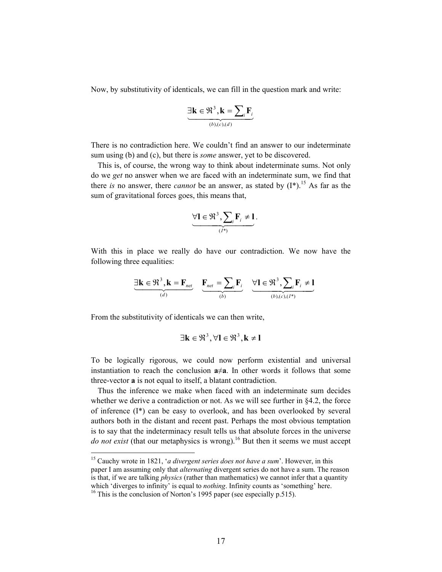Now, by substitutivity of identicals, we can fill in the question mark and write:

$$
\underbrace{\exists \mathbf{k} \in \mathfrak{R}^3, \mathbf{k} = \sum_i \mathbf{F}_i}_{(b),(c),(d)}
$$

There is no contradiction here. We couldn't find an answer to our indeterminate sum using (b) and (c), but there is *some* answer, yet to be discovered.

This is, of course, the wrong way to think about indeterminate sums. Not only do we *get* no answer when we are faced with an indeterminate sum, we find that there *is* no answer, there *cannot* be an answer, as stated by  $(I^*)$ .<sup>15</sup> As far as the sum of gravitational forces goes, this means that,

$$
\underbrace{\forall \mathbf{l} \in \mathfrak{R}^3, \sum_i \mathbf{F}_i \neq \mathbf{l}}_{(I^*)}.
$$

With this in place we really do have our contradiction. We now have the following three equalities:

$$
\underbrace{\exists \mathbf{k} \in \mathfrak{R}^3, \mathbf{k} = \mathbf{F}_{net}}_{(d)} \quad \underbrace{\mathbf{F}_{net} = \sum_{i} \mathbf{F}_{i}}_{(b)} \quad \underbrace{\forall \mathbf{l} \in \mathfrak{R}^3, \sum_{i} \mathbf{F}_{i} \neq \mathbf{l}}_{(b),(c),(I^*)}
$$

From the substitutivity of identicals we can then write,

$$
\exists k \in \mathfrak{R}^3, \forall l \in \mathfrak{R}^3, k \neq l
$$

To be logically rigorous, we could now perform existential and universal instantiation to reach the conclusion  $a \neq a$ . In other words it follows that some three-vector **a** is not equal to itself, a blatant contradiction.

Thus the inference we make when faced with an indeterminate sum decides whether we derive a contradiction or not. As we will see further in §4.2, the force of inference (I\*) can be easy to overlook, and has been overlooked by several authors both in the distant and recent past. Perhaps the most obvious temptation is to say that the indeterminacy result tells us that absolute forces in the universe *do not exist* (that our metaphysics is wrong).<sup>16</sup> But then it seems we must accept

<sup>15</sup> Cauchy wrote in 1821, '*a divergent series does not have a sum*'. However, in this paper I am assuming only that *alternating* divergent series do not have a sum. The reason is that, if we are talking *physics* (rather than mathematics) we cannot infer that a quantity which 'diverges to infinity' is equal to *nothing*. Infinity counts as 'something' here.

<sup>&</sup>lt;sup>16</sup> This is the conclusion of Norton's 1995 paper (see especially p.515).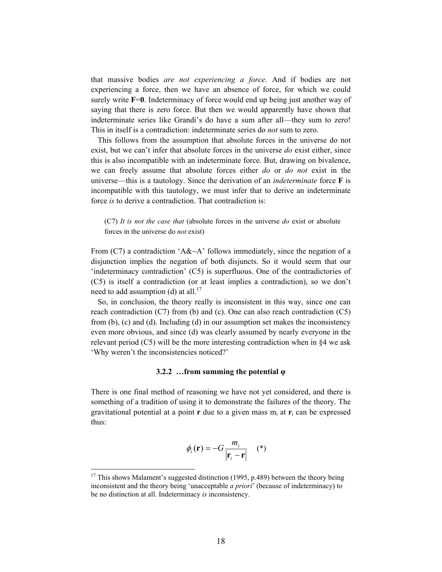that massive bodies *are not experiencing a force*. And if bodies are not experiencing a force, then we have an absence of force, for which we could surely write **F**=0. Indeterminacy of force would end up being just another way of saying that there is zero force. But then we would apparently have shown that indeterminate series like Grandi's do have a sum after all—they sum to zero! This in itself is a contradiction: indeterminate series do *not* sum to zero.

This follows from the assumption that absolute forces in the universe do not exist, but we can't infer that absolute forces in the universe *do* exist either, since this is also incompatible with an indeterminate force. But, drawing on bivalence, we can freely assume that absolute forces either *do* or *do not* exist in the universe—this is a tautology. Since the derivation of an *indeterminate* force **F** is incompatible with this tautology, we must infer that to derive an indeterminate force *is* to derive a contradiction. That contradiction is:

(C7) *It is not the case that* (absolute forces in the universe *do* exist or absolute forces in the universe do *not* exist)

From  $(C7)$  a contradiction 'A&~A' follows immediately, since the negation of a disjunction implies the negation of both disjuncts. So it would seem that our 'indeterminacy contradiction' (C5) is superfluous. One of the contradictories of (C5) is itself a contradiction (or at least implies a contradiction), so we don't need to add assumption (d) at all.<sup>17</sup>

So, in conclusion, the theory really is inconsistent in this way, since one can reach contradiction  $(C7)$  from (b) and (c). One can also reach contradiction  $(C5)$ from (b), (c) and (d). Including (d) in our assumption set makes the inconsistency even more obvious, and since (d) was clearly assumed by nearly everyone in the relevant period (C5) will be the more interesting contradiction when in §4 we ask 'Why weren't the inconsistencies noticed?'

### **3.2.2 …from summing the potential φ**

There is one final method of reasoning we have not yet considered, and there is something of a tradition of using it to demonstrate the failures of the theory. The gravitational potential at a point **r** due to a given mass  $m_i$  at  $r_i$  can be expressed thus:

$$
\phi_i(\mathbf{r}) = -G \frac{m_i}{|\mathbf{r}_i - \mathbf{r}|} \quad (*)
$$

 $17$  This shows Malament's suggested distinction (1995, p.489) between the theory being inconsistent and the theory being 'unacceptable *a priori*' (because of indeterminacy) to be no distinction at all. Indeterminacy *is* inconsistency.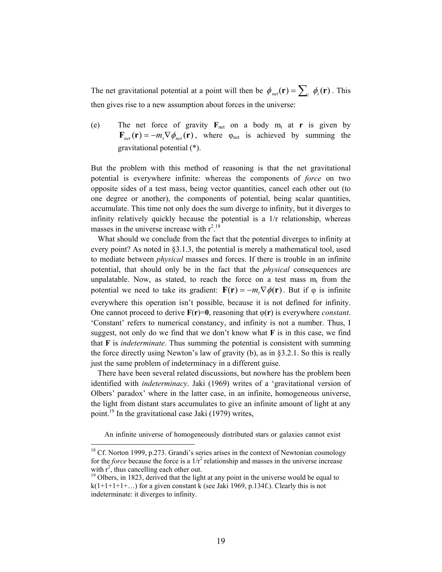The net gravitational potential at a point will then be  $\phi_{net}(\mathbf{r}) = \sum_i \phi_i(\mathbf{r})$ . This then gives rise to a new assumption about forces in the universe:

(e) The net force of gravity  $\mathbf{F}_{\text{net}}$  on a body  $m_t$  at **r** is given by  $\mathbf{F}_{net}(\mathbf{r}) = -m_t \nabla \phi_{net}(\mathbf{r})$ , where  $\varphi_{net}$  is achieved by summing the gravitational potential (\*).

But the problem with this method of reasoning is that the net gravitational potential is everywhere infinite: whereas the components of *force* on two opposite sides of a test mass, being vector quantities, cancel each other out (to one degree or another), the components of potential, being scalar quantities, accumulate. This time not only does the sum diverge to infinity, but it diverges to infinity relatively quickly because the potential is a 1/r relationship, whereas masses in the universe increase with  $r^2$ <sup>18</sup>

What should we conclude from the fact that the potential diverges to infinity at every point? As noted in §3.1.3, the potential is merely a mathematical tool, used to mediate between *physical* masses and forces. If there is trouble in an infinite potential, that should only be in the fact that the *physical* consequences are unpalatable. Now, as stated, to reach the force on a test mass  $m_t$  from the potential we need to take its gradient:  $\mathbf{F}(\mathbf{r}) = -m_r \nabla \phi(\mathbf{r})$ . But if  $\phi$  is infinite everywhere this operation isn't possible, because it is not defined for infinity. One cannot proceed to derive  $\mathbf{F}(\mathbf{r})=0$ , reasoning that  $\varphi(\mathbf{r})$  is everywhere *constant*. 'Constant' refers to numerical constancy, and infinity is not a number. Thus, I suggest, not only do we find that we don't know what **F** is in this case, we find that **F** is *indeterminate*. Thus summing the potential is consistent with summing the force directly using Newton's law of gravity (b), as in §3.2.1. So this is really just the same problem of indeterminacy in a different guise.

There have been several related discussions, but nowhere has the problem been identified with *indeterminacy*. Jaki (1969) writes of a 'gravitational version of Olbers' paradox' where in the latter case, in an infinite, homogeneous universe, the light from distant stars accumulates to give an infinite amount of light at any point.19 In the gravitational case Jaki (1979) writes,

An infinite universe of homogeneously distributed stars or galaxies cannot exist

 $18$  Cf. Norton 1999, p.273. Grandi's series arises in the context of Newtonian cosmology for the *force* because the force is a  $1/r^2$  relationship and masses in the universe increase with  $r^2$ , thus cancelling each other out.<br><sup>19</sup> Olbers, in 1823, derived that the light at any point in the universe would be equal to

 $k(1+1+1+1+\dots)$  for a given constant k (see Jaki 1969, p.134f.). Clearly this is not indeterminate: it diverges to infinity.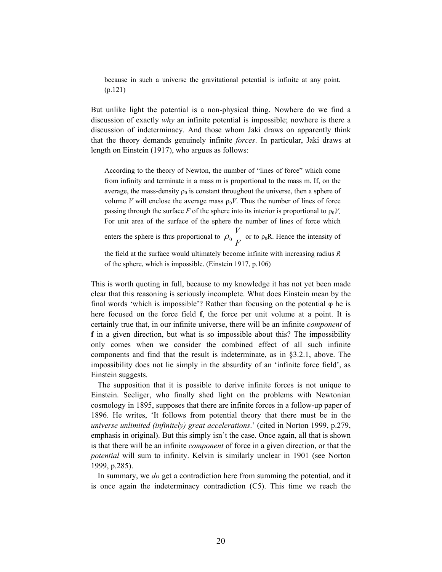because in such a universe the gravitational potential is infinite at any point. (p.121)

But unlike light the potential is a non-physical thing. Nowhere do we find a discussion of exactly *why* an infinite potential is impossible; nowhere is there a discussion of indeterminacy. And those whom Jaki draws on apparently think that the theory demands genuinely infinite *forces*. In particular, Jaki draws at length on Einstein (1917), who argues as follows:

According to the theory of Newton, the number of "lines of force" which come from infinity and terminate in a mass m is proportional to the mass m. If, on the average, the mass-density  $\rho_0$  is constant throughout the universe, then a sphere of volume *V* will enclose the average mass  $\rho_0 V$ . Thus the number of lines of force passing through the surface *F* of the sphere into its interior is proportional to  $\rho_0 V$ . For unit area of the surface of the sphere the number of lines of force which enters the sphere is thus proportional to  $\rho_0 \frac{F}{F}$ *V*  $\rho_0 \frac{1}{E}$  or to  $\rho_0$ R. Hence the intensity of the field at the surface would ultimately become infinite with increasing radius *R* of the sphere, which is impossible. (Einstein 1917, p.106)

This is worth quoting in full, because to my knowledge it has not yet been made clear that this reasoning is seriously incomplete. What does Einstein mean by the final words 'which is impossible'? Rather than focusing on the potential  $\varphi$  he is here focused on the force field **f**, the force per unit volume at a point. It is certainly true that, in our infinite universe, there will be an infinite *component* of **f** in a given direction, but what is so impossible about this? The impossibility only comes when we consider the combined effect of all such infinite components and find that the result is indeterminate, as in §3.2.1, above. The impossibility does not lie simply in the absurdity of an 'infinite force field', as Einstein suggests.

The supposition that it is possible to derive infinite forces is not unique to Einstein. Seeliger, who finally shed light on the problems with Newtonian cosmology in 1895, supposes that there are infinite forces in a follow-up paper of 1896. He writes, 'It follows from potential theory that there must be in the *universe unlimited (infinitely) great accelerations*.' (cited in Norton 1999, p.279, emphasis in original). But this simply isn't the case. Once again, all that is shown is that there will be an infinite *component* of force in a given direction, or that the *potential* will sum to infinity. Kelvin is similarly unclear in 1901 (see Norton 1999, p.285).

In summary, we *do* get a contradiction here from summing the potential, and it is once again the indeterminacy contradiction (C5). This time we reach the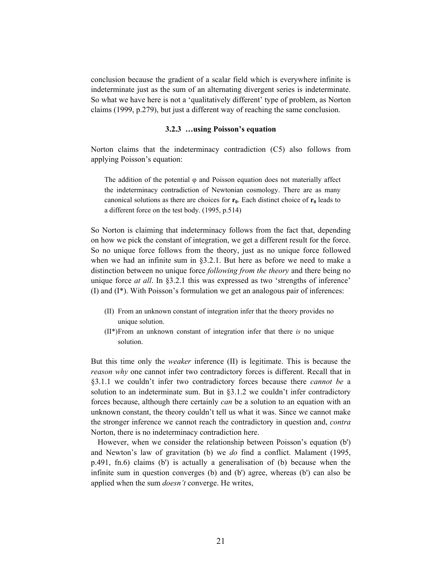conclusion because the gradient of a scalar field which is everywhere infinite is indeterminate just as the sum of an alternating divergent series is indeterminate. So what we have here is not a 'qualitatively different' type of problem, as Norton claims (1999, p.279), but just a different way of reaching the same conclusion.

## **3.2.3 …using Poisson's equation**

Norton claims that the indeterminacy contradiction (C5) also follows from applying Poisson's equation:

The addition of the potential φ and Poisson equation does not materially affect the indeterminacy contradiction of Newtonian cosmology. There are as many canonical solutions as there are choices for  $r_0$ . Each distinct choice of  $r_0$  leads to a different force on the test body. (1995, p.514)

So Norton is claiming that indeterminacy follows from the fact that, depending on how we pick the constant of integration, we get a different result for the force. So no unique force follows from the theory, just as no unique force followed when we had an infinite sum in §3.2.1. But here as before we need to make a distinction between no unique force *following from the theory* and there being no unique force *at all*. In §3.2.1 this was expressed as two 'strengths of inference' (I) and (I\*). With Poisson's formulation we get an analogous pair of inferences:

- (II) From an unknown constant of integration infer that the theory provides no unique solution.
- (II\*) From an unknown constant of integration infer that there *is* no unique solution.

But this time only the *weaker* inference (II) is legitimate. This is because the *reason why* one cannot infer two contradictory forces is different. Recall that in §3.1.1 we couldn't infer two contradictory forces because there *cannot be* a solution to an indeterminate sum. But in  $\S 3.1.2$  we couldn't infer contradictory forces because, although there certainly *can* be a solution to an equation with an unknown constant, the theory couldn't tell us what it was. Since we cannot make the stronger inference we cannot reach the contradictory in question and, *contra* Norton, there is no indeterminacy contradiction here.

However, when we consider the relationship between Poisson's equation (b') and Newton's law of gravitation (b) we *do* find a conflict. Malament (1995, p.491, fn.6) claims (b') is actually a generalisation of (b) because when the infinite sum in question converges (b) and (b') agree, whereas (b') can also be applied when the sum *doesn't* converge. He writes,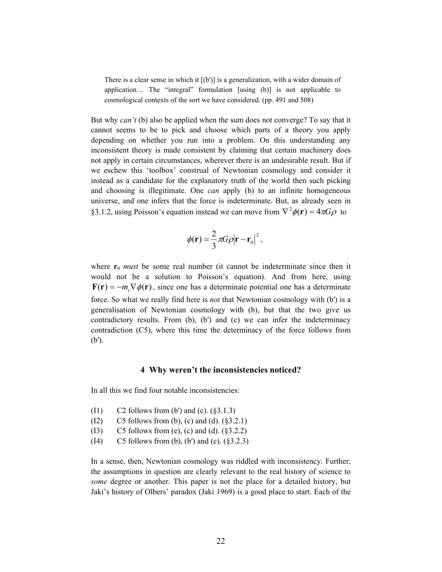There is a clear sense in which it  $[(b')]$  is a generalization, with a wider domain of application… The "integral" formulation [using (b)] is not applicable to cosmological contexts of the sort we have considered. (pp. 491 and 508)

But why *can't* (b) also be applied when the sum does not converge? To say that it cannot seems to be to pick and choose which parts of a theory you apply depending on whether you run into a problem. On this understanding any inconsistent theory is made consistent by claiming that certain machinery does not apply in certain circumstances, wherever there is an undesirable result. But if we eschew this 'toolbox' construal of Newtonian cosmology and consider it instead as a candidate for the explanatory truth of the world then such picking and choosing is illegitimate. One *can* apply (b) to an infinite homogeneous universe, and one infers that the force is indeterminate. But, as already seen in §3.1.2, using Poisson's equation instead we can move from  $\nabla^2 \phi(\mathbf{r}) = 4\pi G \rho$  to

$$
\phi(\mathbf{r}) = \frac{2}{3}\pi G\rho |\mathbf{r} - \mathbf{r}_0|^2,
$$

where  $r_0$  *must* be some real number (it cannot be indeterminate since then it would not be a solution to Poisson's equation). And from here, using **, since one has a determinate potential one has a determinate** force. So what we really find here is *not* that Newtonian cosmology with (b') is a generalisation of Newtonian cosmology with (b), but that the two give us contradictory results. From (b), (b') and (c) we can infer the indeterminacy contradiction (C5), where this time the determinacy of the force follows from (b').

## **4 Why weren't the inconsistencies noticed?**

In all this we find four notable inconsistencies:

- (I1) C2 follows from (b') and (c).  $(\S 3.1.3)$
- (I2) C5 follows from (b), (c) and (d).  $(\$3.2.1)$
- (I3) C5 follows from (e), (c) and (d).  $(\S 3.2.2)$
- (I4) C5 follows from (b), (b') and (c).  $(\S 3.2.3)$

In a sense, then, Newtonian cosmology was riddled with inconsistency. Further, the assumptions in question are clearly relevant to the real history of science to *some* degree or another. This paper is not the place for a detailed history, but Jaki's history of Olbers' paradox (Jaki 1969) is a good place to start. Each of the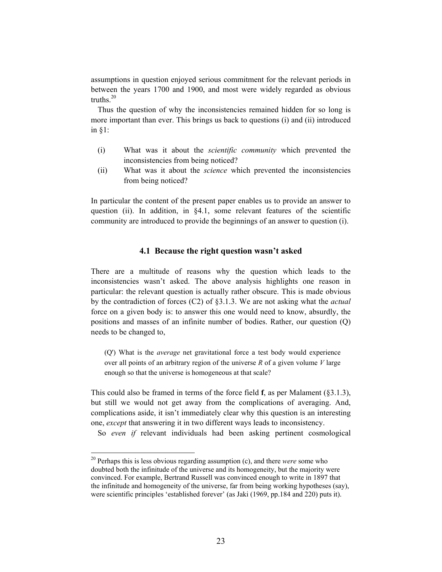assumptions in question enjoyed serious commitment for the relevant periods in between the years 1700 and 1900, and most were widely regarded as obvious truths.20

Thus the question of why the inconsistencies remained hidden for so long is more important than ever. This brings us back to questions (i) and (ii) introduced in §1:

- (i) What was it about the *scientific community* which prevented the inconsistencies from being noticed?
- (ii) What was it about the *science* which prevented the inconsistencies from being noticed?

In particular the content of the present paper enables us to provide an answer to question (ii). In addition, in §4.1, some relevant features of the scientific community are introduced to provide the beginnings of an answer to question (i).

# **4.1 Because the right question wasn't asked**

There are a multitude of reasons why the question which leads to the inconsistencies wasn't asked. The above analysis highlights one reason in particular: the relevant question is actually rather obscure. This is made obvious by the contradiction of forces (C2) of §3.1.3. We are not asking what the *actual* force on a given body is: to answer this one would need to know, absurdly, the positions and masses of an infinite number of bodies. Rather, our question (Q) needs to be changed to,

(Q') What is the *average* net gravitational force a test body would experience over all points of an arbitrary region of the universe *R* of a given volume *V* large enough so that the universe is homogeneous at that scale?

This could also be framed in terms of the force field **f**, as per Malament (§3.1.3), but still we would not get away from the complications of averaging. And, complications aside, it isn't immediately clear why this question is an interesting one, *except* that answering it in two different ways leads to inconsistency.

So *even if* relevant individuals had been asking pertinent cosmological

<sup>20</sup> Perhaps this is less obvious regarding assumption (c), and there *were* some who doubted both the infinitude of the universe and its homogeneity, but the majority were convinced. For example, Bertrand Russell was convinced enough to write in 1897 that the infinitude and homogeneity of the universe, far from being working hypotheses (say), were scientific principles 'established forever' (as Jaki (1969, pp.184 and 220) puts it).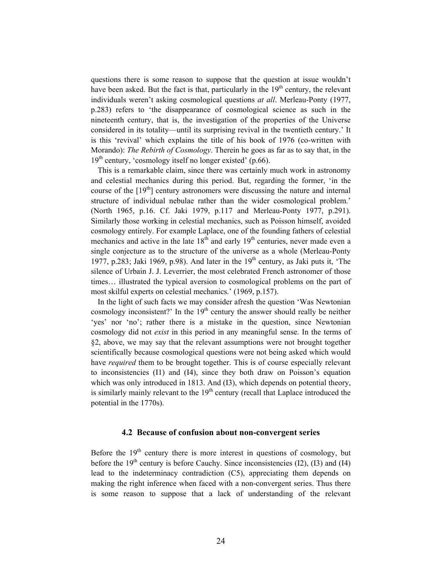questions there is some reason to suppose that the question at issue wouldn't have been asked. But the fact is that, particularly in the  $19<sup>th</sup>$  century, the relevant individuals weren't asking cosmological questions *at all*. Merleau-Ponty (1977, p.283) refers to 'the disappearance of cosmological science as such in the nineteenth century, that is, the investigation of the properties of the Universe considered in its totality—until its surprising revival in the twentieth century.' It is this 'revival' which explains the title of his book of 1976 (co-written with Morando): *The Rebirth of Cosmology*. Therein he goes as far as to say that, in the  $19<sup>th</sup>$  century, 'cosmology itself no longer existed' (p.66).

This is a remarkable claim, since there was certainly much work in astronomy and celestial mechanics during this period. But, regarding the former, 'in the course of the  $[19<sup>th</sup>]$  century astronomers were discussing the nature and internal structure of individual nebulae rather than the wider cosmological problem.' (North 1965, p.16. Cf. Jaki 1979, p.117 and Merleau-Ponty 1977, p.291). Similarly those working in celestial mechanics, such as Poisson himself, avoided cosmology entirely. For example Laplace, one of the founding fathers of celestial mechanics and active in the late  $18<sup>th</sup>$  and early  $19<sup>th</sup>$  centuries, never made even a single conjecture as to the structure of the universe as a whole (Merleau-Ponty 1977, p.283; Jaki 1969, p.98). And later in the  $19<sup>th</sup>$  century, as Jaki puts it, 'The silence of Urbain J. J. Leverrier, the most celebrated French astronomer of those times… illustrated the typical aversion to cosmological problems on the part of most skilful experts on celestial mechanics.' (1969, p.157).

In the light of such facts we may consider afresh the question 'Was Newtonian cosmology inconsistent?' In the  $19<sup>th</sup>$  century the answer should really be neither 'yes' nor 'no'; rather there is a mistake in the question, since Newtonian cosmology did not *exist* in this period in any meaningful sense. In the terms of §2, above, we may say that the relevant assumptions were not brought together scientifically because cosmological questions were not being asked which would have *required* them to be brought together. This is of course especially relevant to inconsistencies (I1) and (I4), since they both draw on Poisson's equation which was only introduced in 1813. And (I3), which depends on potential theory, is similarly mainly relevant to the  $19<sup>th</sup>$  century (recall that Laplace introduced the potential in the 1770s).

# **4.2 Because of confusion about non-convergent series**

Before the  $19<sup>th</sup>$  century there is more interest in questions of cosmology, but before the  $19<sup>th</sup>$  century is before Cauchy. Since inconsistencies (I2), (I3) and (I4) lead to the indeterminacy contradiction (C5), appreciating them depends on making the right inference when faced with a non-convergent series. Thus there is some reason to suppose that a lack of understanding of the relevant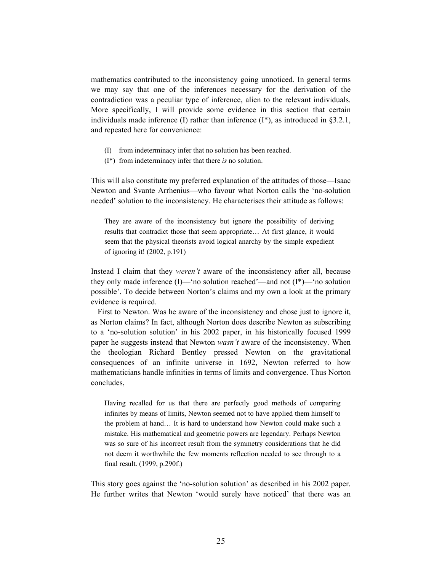mathematics contributed to the inconsistency going unnoticed. In general terms we may say that one of the inferences necessary for the derivation of the contradiction was a peculiar type of inference, alien to the relevant individuals. More specifically, I will provide some evidence in this section that certain individuals made inference (I) rather than inference  $(I^*)$ , as introduced in §3.2.1, and repeated here for convenience:

- (I) from indeterminacy infer that no solution has been reached.
- (I\*) from indeterminacy infer that there *is* no solution.

This will also constitute my preferred explanation of the attitudes of those—Isaac Newton and Svante Arrhenius—who favour what Norton calls the 'no-solution needed' solution to the inconsistency. He characterises their attitude as follows:

They are aware of the inconsistency but ignore the possibility of deriving results that contradict those that seem appropriate… At first glance, it would seem that the physical theorists avoid logical anarchy by the simple expedient of ignoring it! (2002, p.191)

Instead I claim that they *weren't* aware of the inconsistency after all, because they only made inference (I)—'no solution reached'—and not (I\*)—'no solution possible'. To decide between Norton's claims and my own a look at the primary evidence is required.

First to Newton. Was he aware of the inconsistency and chose just to ignore it, as Norton claims? In fact, although Norton does describe Newton as subscribing to a 'no-solution solution' in his 2002 paper, in his historically focused 1999 paper he suggests instead that Newton *wasn't* aware of the inconsistency. When the theologian Richard Bentley pressed Newton on the gravitational consequences of an infinite universe in 1692, Newton referred to how mathematicians handle infinities in terms of limits and convergence. Thus Norton concludes,

Having recalled for us that there are perfectly good methods of comparing infinites by means of limits, Newton seemed not to have applied them himself to the problem at hand… It is hard to understand how Newton could make such a mistake. His mathematical and geometric powers are legendary. Perhaps Newton was so sure of his incorrect result from the symmetry considerations that he did not deem it worthwhile the few moments reflection needed to see through to a final result. (1999, p.290f.)

This story goes against the 'no-solution solution' as described in his 2002 paper. He further writes that Newton 'would surely have noticed' that there was an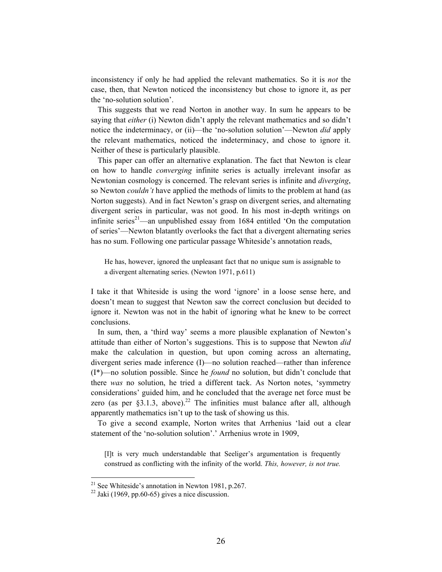inconsistency if only he had applied the relevant mathematics. So it is *not* the case, then, that Newton noticed the inconsistency but chose to ignore it, as per the 'no-solution solution'.

This suggests that we read Norton in another way. In sum he appears to be saying that *either* (i) Newton didn't apply the relevant mathematics and so didn't notice the indeterminacy, or (ii)—the 'no-solution solution'—Newton *did* apply the relevant mathematics, noticed the indeterminacy, and chose to ignore it. Neither of these is particularly plausible.

This paper can offer an alternative explanation. The fact that Newton is clear on how to handle *converging* infinite series is actually irrelevant insofar as Newtonian cosmology is concerned. The relevant series is infinite and *diverging*, so Newton *couldn't* have applied the methods of limits to the problem at hand (as Norton suggests). And in fact Newton's grasp on divergent series, and alternating divergent series in particular, was not good. In his most in-depth writings on infinite series<sup>21</sup>—an unpublished essay from 1684 entitled 'On the computation of series'—Newton blatantly overlooks the fact that a divergent alternating series has no sum. Following one particular passage Whiteside's annotation reads,

He has, however, ignored the unpleasant fact that no unique sum is assignable to a divergent alternating series. (Newton 1971, p.611)

I take it that Whiteside is using the word 'ignore' in a loose sense here, and doesn't mean to suggest that Newton saw the correct conclusion but decided to ignore it. Newton was not in the habit of ignoring what he knew to be correct conclusions.

In sum, then, a 'third way' seems a more plausible explanation of Newton's attitude than either of Norton's suggestions. This is to suppose that Newton *did* make the calculation in question, but upon coming across an alternating, divergent series made inference (I)—no solution reached—rather than inference (I\*)—no solution possible. Since he *found* no solution, but didn't conclude that there *was* no solution, he tried a different tack. As Norton notes, 'symmetry considerations' guided him, and he concluded that the average net force must be zero (as per  $\S 3.1.3$ , above).<sup>22</sup> The infinities must balance after all, although apparently mathematics isn't up to the task of showing us this.

To give a second example, Norton writes that Arrhenius 'laid out a clear statement of the 'no-solution solution'.' Arrhenius wrote in 1909,

[I]t is very much understandable that Seeliger's argumentation is frequently construed as conflicting with the infinity of the world. *This, however, is not true.*

<sup>&</sup>lt;sup>21</sup> See Whiteside's annotation in Newton 1981, p.267.

 $22$  Jaki (1969, pp.60-65) gives a nice discussion.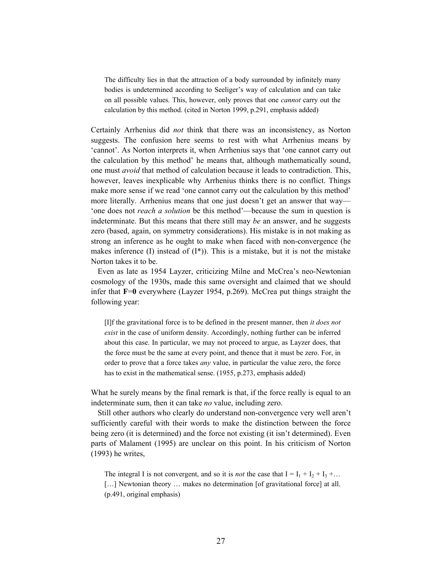The difficulty lies in that the attraction of a body surrounded by infinitely many bodies is undetermined according to Seeliger's way of calculation and can take on all possible values. This, however, only proves that one *cannot* carry out the calculation by this method. (cited in Norton 1999, p.291, emphasis added)

Certainly Arrhenius did *not* think that there was an inconsistency, as Norton suggests. The confusion here seems to rest with what Arrhenius means by 'cannot'. As Norton interprets it, when Arrhenius says that 'one cannot carry out the calculation by this method' he means that, although mathematically sound, one must *avoid* that method of calculation because it leads to contradiction. This, however, leaves inexplicable why Arrhenius thinks there is no conflict. Things make more sense if we read 'one cannot carry out the calculation by this method' more literally. Arrhenius means that one just doesn't get an answer that way— 'one does not *reach a solution* be this method'—because the sum in question is indeterminate. But this means that there still may *be* an answer, and he suggests zero (based, again, on symmetry considerations). His mistake is in not making as strong an inference as he ought to make when faced with non-convergence (he makes inference (I) instead of  $(I^*)$ ). This is a mistake, but it is not the mistake Norton takes it to be.

Even as late as 1954 Layzer, criticizing Milne and McCrea's neo-Newtonian cosmology of the 1930s, made this same oversight and claimed that we should infer that **F**=**0** everywhere (Layzer 1954, p.269). McCrea put things straight the following year:

[I]f the gravitational force is to be defined in the present manner, then *it does not exist* in the case of uniform density. Accordingly, nothing further can be inferred about this case. In particular, we may not proceed to argue, as Layzer does, that the force must be the same at every point, and thence that it must be zero. For, in order to prove that a force takes *any* value, in particular the value zero, the force has to exist in the mathematical sense. (1955, p.273, emphasis added)

What he surely means by the final remark is that, if the force really is equal to an indeterminate sum, then it can take *no* value, including zero.

Still other authors who clearly do understand non-convergence very well aren't sufficiently careful with their words to make the distinction between the force being zero (it is determined) and the force not existing (it isn't determined). Even parts of Malament (1995) are unclear on this point. In his criticism of Norton (1993) he writes,

The integral I is not convergent, and so it is *not* the case that  $I = I_1 + I_2 + I_3 + ...$ [...] Newtonian theory ... makes no determination [of gravitational force] at all. (p.491, original emphasis)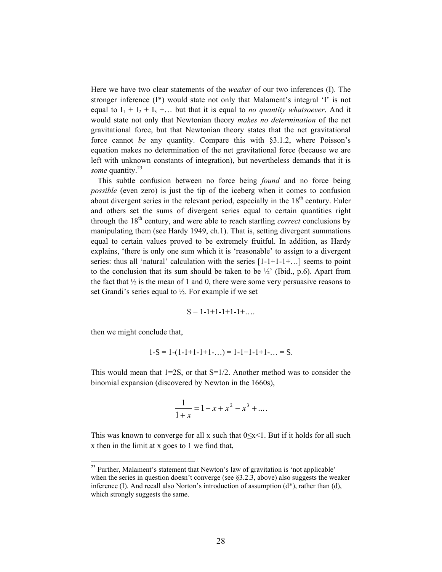Here we have two clear statements of the *weaker* of our two inferences (I). The stronger inference (I\*) would state not only that Malament's integral 'I' is not equal to  $I_1 + I_2 + I_3 + ...$  but that it is equal to *no quantity whatsoever*. And it would state not only that Newtonian theory *makes no determination* of the net gravitational force, but that Newtonian theory states that the net gravitational force cannot *be* any quantity. Compare this with §3.1.2, where Poisson's equation makes no determination of the net gravitational force (because we are left with unknown constants of integration), but nevertheless demands that it is *some* quantity.<sup>23</sup>

This subtle confusion between no force being *found* and no force being *possible* (even zero) is just the tip of the iceberg when it comes to confusion about divergent series in the relevant period, especially in the  $18<sup>th</sup>$  century. Euler and others set the sums of divergent series equal to certain quantities right through the  $18<sup>th</sup>$  century, and were able to reach startling *correct* conclusions by manipulating them (see Hardy 1949, ch.1). That is, setting divergent summations equal to certain values proved to be extremely fruitful. In addition, as Hardy explains, 'there is only one sum which it is 'reasonable' to assign to a divergent series: thus all 'natural' calculation with the series  $[1-1+1-1+ \dots]$  seems to point to the conclusion that its sum should be taken to be  $\frac{1}{2}$  (Ibid., p.6). Apart from the fact that  $\frac{1}{2}$  is the mean of 1 and 0, there were some very persuasive reasons to set Grandi's series equal to ½. For example if we set

$$
S = 1 - 1 + 1 - 1 + 1 - 1 + \dots
$$

then we might conclude that,

 $\overline{a}$ 

$$
1-S = 1-(1-1+1-1+1-...)=1-1+1-1+1-...=S.
$$

This would mean that  $1=2S$ , or that  $S=1/2$ . Another method was to consider the binomial expansion (discovered by Newton in the 1660s),

$$
\frac{1}{1+x} = 1 - x + x^2 - x^3 + \dots
$$

This was known to converge for all x such that  $0 \le x \le 1$ . But if it holds for all such x then in the limit at x goes to 1 we find that,

 $23$  Further, Malament's statement that Newton's law of gravitation is 'not applicable' when the series in question doesn't converge (see §3.2.3, above) also suggests the weaker inference (I). And recall also Norton's introduction of assumption (d\*), rather than (d), which strongly suggests the same.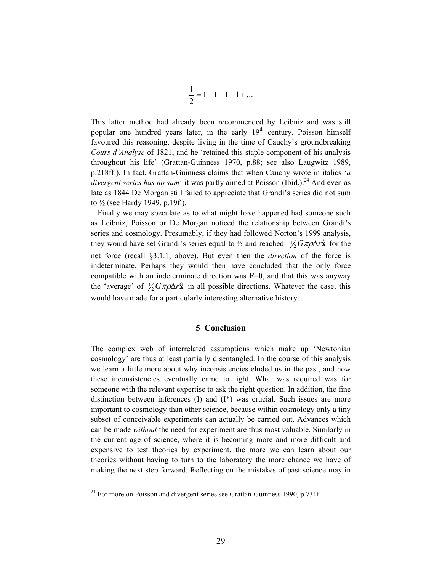$$
\frac{1}{2} = 1 - 1 + 1 - 1 + \dots
$$

This latter method had already been recommended by Leibniz and was still popular one hundred years later, in the early  $19<sup>th</sup>$  century. Poisson himself favoured this reasoning, despite living in the time of Cauchy's groundbreaking *Cours d'Analyse* of 1821, and he 'retained this staple component of his analysis throughout his life' (Grattan-Guinness 1970, p.88; see also Laugwitz 1989, p.218ff.). In fact, Grattan-Guinness claims that when Cauchy wrote in italics '*a divergent series has no sum*<sup>3</sup> it was partly aimed at Poisson (Ibid.).<sup>24</sup> And even as late as 1844 De Morgan still failed to appreciate that Grandi's series did not sum to ½ (see Hardy 1949, p.19f.).

Finally we may speculate as to what might have happened had someone such as Leibniz, Poisson or De Morgan noticed the relationship between Grandi's series and cosmology. Presumably, if they had followed Norton's 1999 analysis, they would have set Grandi's series equal to  $\frac{1}{2}$  and reached  $\frac{1}{2}G\pi\rho\Delta r\hat{x}$  for the net force (recall §3.1.1, above). But even then the *direction* of the force is indeterminate. Perhaps they would then have concluded that the only force compatible with an indeterminate direction was  $\mathbf{F}=\mathbf{0}$ , and that this was anyway the 'average' of  $\frac{1}{2}G\pi\rho\Delta r\hat{x}$  in all possible directions. Whatever the case, this would have made for a particularly interesting alternative history.

# **5 Conclusion**

The complex web of interrelated assumptions which make up 'Newtonian cosmology' are thus at least partially disentangled. In the course of this analysis we learn a little more about why inconsistencies eluded us in the past, and how these inconsistencies eventually came to light. What was required was for someone with the relevant expertise to ask the right question. In addition, the fine distinction between inferences (I) and (I\*) was crucial. Such issues are more important to cosmology than other science, because within cosmology only a tiny subset of conceivable experiments can actually be carried out. Advances which can be made *without* the need for experiment are thus most valuable. Similarly in the current age of science, where it is becoming more and more difficult and expensive to test theories by experiment, the more we can learn about our theories without having to turn to the laboratory the more chance we have of making the next step forward. Reflecting on the mistakes of past science may in

 $^{24}$  For more on Poisson and divergent series see Grattan-Guinness 1990, p.731f.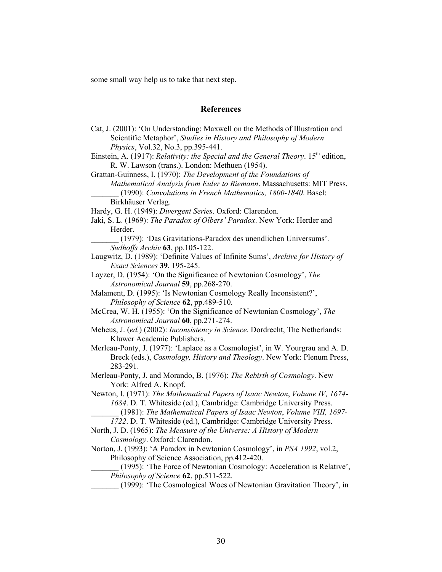some small way help us to take that next step.

## **References**

- Cat, J. (2001): 'On Understanding: Maxwell on the Methods of Illustration and Scientific Metaphor', *Studies in History and Philosophy of Modern Physics*, Vol.32, No.3, pp.395-441.
- Einstein, A. (1917): *Relativity: the Special and the General Theory*. 15<sup>th</sup> edition, R. W. Lawson (trans.). London: Methuen (1954).
- Grattan-Guinness, I. (1970): *The Development of the Foundations of Mathematical Analysis from Euler to Riemann*. Massachusetts: MIT Press. \_\_\_\_\_\_\_ (1990): *Convolutions in French Mathematics, 1800-1840*. Basel:
	- Birkhäuser Verlag.
- Hardy, G. H. (1949): *Divergent Series*. Oxford: Clarendon.
- Jaki, S. L. (1969): *The Paradox of Olbers' Paradox*. New York: Herder and Herder.

\_\_\_\_\_\_\_ (1979): 'Das Gravitations-Paradox des unendlichen Universums'. *Sudhoffs Archiv* **63**, pp.105-122.

- Laugwitz, D. (1989): 'Definite Values of Infinite Sums', *Archive for History of Exact Sciences* **39**, 195-245.
- Layzer, D. (1954): 'On the Significance of Newtonian Cosmology', *The Astronomical Journal* **59**, pp.268-270.
- Malament, D. (1995): 'Is Newtonian Cosmology Really Inconsistent?', *Philosophy of Science* **62**, pp.489-510.
- McCrea, W. H. (1955): 'On the Significance of Newtonian Cosmology', *The Astronomical Journal* **60**, pp.271-274.
- Meheus, J. (*ed.*) (2002): *Inconsistency in Science*. Dordrecht, The Netherlands: Kluwer Academic Publishers.
- Merleau-Ponty, J. (1977): 'Laplace as a Cosmologist', in W. Yourgrau and A. D. Breck (eds.), *Cosmology, History and Theology*. New York: Plenum Press, 283-291.
- Merleau-Ponty, J. and Morando, B. (1976): *The Rebirth of Cosmology*. New York: Alfred A. Knopf.
- Newton, I. (1971): *The Mathematical Papers of Isaac Newton*, *Volume IV, 1674- 1684*. D. T. Whiteside (ed.), Cambridge: Cambridge University Press.
	- \_\_\_\_\_\_\_ (1981): *The Mathematical Papers of Isaac Newton*, *Volume VIII, 1697-*
	- *1722*. D. T. Whiteside (ed.), Cambridge: Cambridge University Press.
- North, J. D. (1965): *The Measure of the Universe: A History of Modern Cosmology*. Oxford: Clarendon.
- Norton, J. (1993): 'A Paradox in Newtonian Cosmology', in *PSA 1992*, vol.2, Philosophy of Science Association, pp.412-420.
	- \_\_\_\_\_\_\_ (1995): 'The Force of Newtonian Cosmology: Acceleration is Relative', *Philosophy of Science* **62**, pp.511-522.
	- \_\_\_\_\_\_\_ (1999): 'The Cosmological Woes of Newtonian Gravitation Theory', in